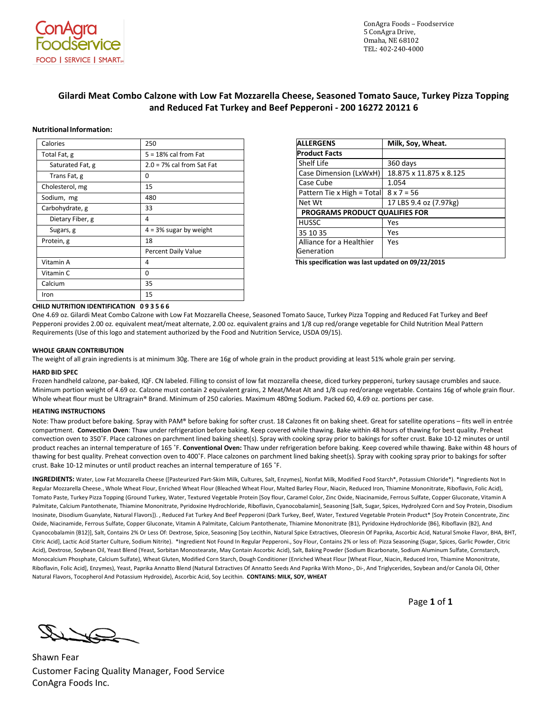

ConAgra Foods – Foodservice 5 ConAgra Drive, Omaha, NE 68102 TEL: 402-240-4000

# **Gilardi Meat Combo Calzone with Low Fat Mozzarella Cheese, Seasoned Tomato Sauce, Turkey Pizza Topping and Reduced Fat Turkey and Beef Pepperoni - 200 16272 20121 6**

## **NutritionalInformation:**

| Calories         | 250                          |
|------------------|------------------------------|
| Total Fat, g     | $5 = 18\%$ cal from Fat      |
| Saturated Fat, g | $2.0 = 7\%$ cal from Sat Fat |
| Trans Fat, g     | 0                            |
| Cholesterol, mg  | 15                           |
| Sodium, mg       | 480                          |
| Carbohydrate, g  | 33                           |
| Dietary Fiber, g | 4                            |
| Sugars, g        | $4 = 3\%$ sugar by weight    |
| Protein, g       | 18                           |
|                  | Percent Daily Value          |
| Vitamin A        | 4                            |
| Vitamin C        | 0                            |
| Calcium          | 35                           |
| Iron             | 15                           |

| <b>ALLERGENS</b>                       | Milk, Soy, Wheat.       |
|----------------------------------------|-------------------------|
| <b>Product Facts</b>                   |                         |
| <b>Shelf Life</b>                      | 360 days                |
| Case Dimension (LxWxH)                 | 18.875 x 11.875 x 8.125 |
| Case Cube                              | 1.054                   |
| Pattern Tie x High = Total             | $8 \times 7 = 56$       |
| Net Wt                                 | 17 LBS 9.4 oz (7.97kg)  |
| PROGRAMS PRODUCT QUALIFIES FOR         |                         |
| <b>HUSSC</b>                           | Yes                     |
| 35 10 35                               | Yes                     |
| Alliance for a Healthier<br>Generation | Yes                     |

 **This specification was last updated on 09/22/2015**

## **CHILD NUTRITION IDENTIFICATION 0935 6 6**

One 4.69 oz. Gilardi Meat Combo Calzone with Low Fat Mozzarella Cheese, Seasoned Tomato Sauce, Turkey Pizza Topping and Reduced Fat Turkey and Beef Pepperoni provides 2.00 oz. equivalent meat/meat alternate, 2.00 oz. equivalent grains and 1/8 cup red/orange vegetable for Child Nutrition Meal Pattern Requirements (Use of this logo and statement authorized by the Food and Nutrition Service, USDA 09/15).

### **WHOLE GRAIN CONTRIBUTION**

The weight of all grain ingredients is at minimum 30g. There are 16g of whole grain in the product providing at least 51% whole grain per serving.

#### **HARD BID SPEC**

Frozen handheld calzone, par-baked, IQF. CN labeled. Filling to consist of low fat mozzarella cheese, diced turkey pepperoni, turkey sausage crumbles and sauce. Minimum portion weight of 4.69 oz. Calzone must contain 2 equivalent grains, 2 Meat/Meat Alt and 1/8 cup red/orange vegetable. Contains 16g of whole grain flour. Whole wheat flour must be Ultragrain® Brand. Minimum of 250 calories. Maximum 480mg Sodium. Packed 60, 4.69 oz. portions per case.

## **HEATING INSTRUCTIONS**

Note: Thaw product before baking. Spray with PAM® before baking for softer crust. 18 Calzones fit on baking sheet. Great for satellite operations – fits well in entrée compartment. **Convection Oven**: Thaw under refrigeration before baking. Keep covered while thawing. Bake within 48 hours of thawing for best quality. Preheat convection oven to 350˚F. Place calzones on parchment lined baking sheet(s). Spray with cooking spray prior to bakings for softer crust. Bake 10-12 minutes or until product reaches an internal temperature of 165 ˚F. **Conventional Oven:** Thaw under refrigeration before baking. Keep covered while thawing. Bake within 48 hours of thawing for best quality. Preheat convection oven to 400˚F. Place calzones on parchment lined baking sheet(s). Spray with cooking spray prior to bakings for softer crust. Bake 10-12 minutes or until product reaches an internal temperature of 165 ˚F.

**INGREDIENTS:** Water, Low Fat Mozzarella Cheese ([Pasteurized Part-Skim Milk, Cultures, Salt, Enzymes], Nonfat Milk, Modified Food Starch\*, Potassium Chloride\*). \*Ingredients Not In Regular Mozzarella Cheese., Whole Wheat Flour, Enriched Wheat Flour (Bleached Wheat Flour, Malted Barley Flour, Niacin, Reduced Iron, Thiamine Mononitrate, Riboflavin, Folic Acid), Tomato Paste, Turkey Pizza Topping (Ground Turkey, Water, Textured Vegetable Protein [Soy flour, Caramel Color, Zinc Oxide, Niacinamide, Ferrous Sulfate, Copper Gluconate, Vitamin A Palmitate, Calcium Pantothenate, Thiamine Mononitrate, Pyridoxine Hydrochloride, Riboflavin, Cyanocobalamin], Seasoning [Salt, Sugar, Spices, Hydrolyzed Corn and Soy Protein, Disodium Inosinate, Disodium Guanylate, Natural Flavors]). , Reduced Fat Turkey And Beef Pepperoni (Dark Turkey, Beef, Water, Textured Vegetable Protein Product\* [Soy Protein Concentrate, Zinc Oxide, Niacinamide, Ferrous Sulfate, Copper Gluconate, Vitamin A Palmitate, Calcium Pantothenate, Thiamine Mononitrate {B1}, Pyridoxine Hydrochloride {B6}, Riboflavin {B2}, And Cyanocobalamin {B12}], Salt, Contains 2% Or Less Of: Dextrose, Spice, Seasoning [Soy Lecithin, Natural Spice Extractives, Oleoresin Of Paprika, Ascorbic Acid, Natural Smoke Flavor, BHA, BHT, Citric Acid], Lactic Acid Starter Culture, Sodium Nitrite). \*Ingredient Not Found In Regular Pepperoni., Soy Flour, Contains 2% or less of: Pizza Seasoning (Sugar, Spices, Garlic Powder, Citric Acid), Dextrose, Soybean Oil, Yeast Blend (Yeast, Sorbitan Monostearate, May Contain Ascorbic Acid), Salt, Baking Powder (Sodium Bicarbonate, Sodium Aluminum Sulfate, Cornstarch, Monocalcium Phosphate, Calcium Sulfate), Wheat Gluten, Modified Corn Starch, Dough Conditioner (Enriched Wheat Flour [Wheat Flour, Niacin, Reduced Iron, Thiamine Mononitrate, Riboflavin, Folic Acid], Enzymes), Yeast, Paprika Annatto Blend (Natural Extractives Of Annatto Seeds And Paprika With Mono-, Di-, And Triglycerides, Soybean and/or Canola Oil, Other Natural Flavors, Tocopherol And Potassium Hydroxide), Ascorbic Acid, Soy Lecithin. **CONTAINS: MILK, SOY, WHEAT**

Page **1** of **1**

Shawn Fear Customer Facing Quality Manager, Food Service ConAgra Foods Inc.